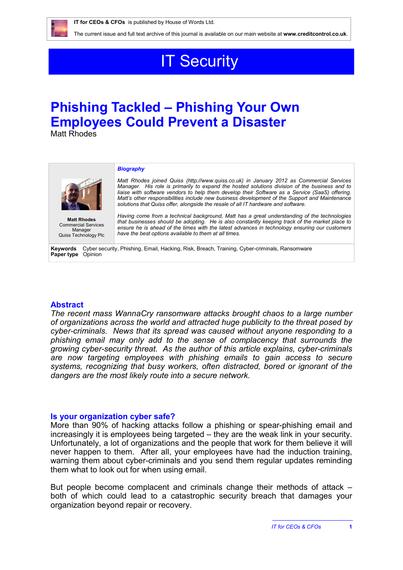

# **IT Security**

## **Phishing Tackled – Phishing Your Own Employees Could Prevent a Disaster**

Matt Rhodes

#### *Biography*



**Matt Rhodes** Commercial Services Manager Quiss Technology Plc

*Matt Rhodes joined Quiss [\(http://www.quiss.co.uk\)](http://www.quiss.co.uk) in January 2012 as Commercial Services Manager. His role is primarily to expand the hosted solutions division of the business and to liaise with software vendors to help them develop their Software as a Service (SaaS) offering. Matt's other responsibilities include new business development of the Support and Maintenance solutions that Quiss offer, alongside the resale of all IT hardware and software.*

*Having come from a technical background, Matt has a great understanding of the technologies that businesses should be adopting. He is also constantly keeping track of the market place to ensure he is ahead of the times with the latest advances in technology ensuring our customers have the best options available to them at all times.*

**Keywords** Cyber security, Phishing, Email, Hacking, Risk, Breach, Training, Cyber-criminals, Ransomware **Paper type** Opinion

## **Abstract**

*The recent mass WannaCry ransomware attacks brought chaos to a large number of organizations across the world and attracted huge publicity to the threat posed by cyber-criminals. News that its spread was caused without anyone responding to a phishing email may only add to the sense of complacency that surrounds the growing cyber-security threat. As the author of this article explains, cyber-criminals are now targeting employees with phishing emails to gain access to secure systems, recognizing that busy workers, often distracted, bored or ignorant of the dangers are the most likely route into a secure network.*

#### **Is your organization cyber safe?**

More than 90% of hacking attacks follow a phishing or spear-phishing email and increasingly it is employees being targeted – they are the weak link in your security. Unfortunately, a lot of organizations and the people that work for them believe it will never happen to them. After all, your employees have had the induction training, warning them about cyber-criminals and you send them regular updates reminding them what to look out for when using email.

But people become complacent and criminals change their methods of attack – both of which could lead to a catastrophic security breach that damages your organization beyond repair or recovery.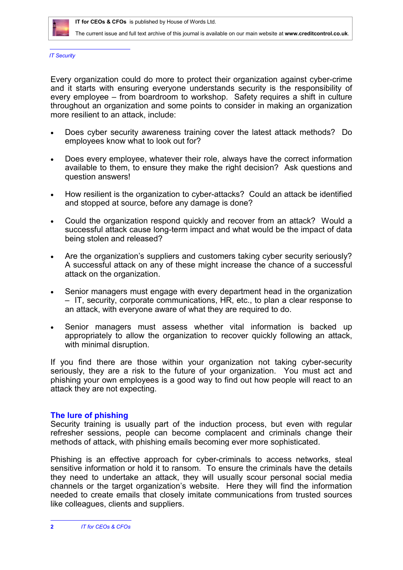

*IT Security*

Every organization could do more to protect their organization against cyber-crime and it starts with ensuring everyone understands security is the responsibility of every employee – from boardroom to workshop. Safety requires a shift in culture throughout an organization and some points to consider in making an organization more resilient to an attack, include:

- Does cyber security awareness training cover the latest attack methods? Do employees know what to look out for?
- Does every employee, whatever their role, always have the correct information available to them, to ensure they make the right decision? Ask questions and question answers!
- How resilient is the organization to cyber-attacks? Could an attack be identified and stopped at source, before any damage is done?
- Could the organization respond quickly and recover from an attack? Would a successful attack cause long-term impact and what would be the impact of data being stolen and released?
- Are the organization's suppliers and customers taking cyber security seriously? A successful attack on any of these might increase the chance of a successful attack on the organization.
- Senior managers must engage with every department head in the organization – IT, security, corporate communications, HR, etc., to plan a clear response to an attack, with everyone aware of what they are required to do.
- Senior managers must assess whether vital information is backed up appropriately to allow the organization to recover quickly following an attack, with minimal disruption.

If you find there are those within your organization not taking cyber-security seriously, they are a risk to the future of your organization. You must act and phishing your own employees is a good way to find out how people will react to an attack they are not expecting.

## **The lure of phishing**

Security training is usually part of the induction process, but even with regular refresher sessions, people can become complacent and criminals change their methods of attack, with phishing emails becoming ever more sophisticated.

Phishing is an effective approach for cyber-criminals to access networks, steal sensitive information or hold it to ransom. To ensure the criminals have the details they need to undertake an attack, they will usually scour personal social media channels or the target organization's website. Here they will find the information needed to create emails that closely imitate communications from trusted sources like colleagues, clients and suppliers.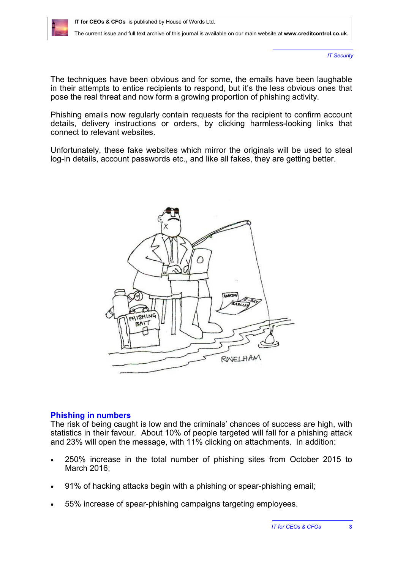

*IT Security*

The techniques have been obvious and for some, the emails have been laughable in their attempts to entice recipients to respond, but it's the less obvious ones that pose the real threat and now form a growing proportion of phishing activity.

Phishing emails now regularly contain requests for the recipient to confirm account details, delivery instructions or orders, by clicking harmless-looking links that connect to relevant websites.

Unfortunately, these fake websites which mirror the originals will be used to steal log-in details, account passwords etc., and like all fakes, they are getting better.



#### **Phishing in numbers**

The risk of being caught is low and the criminals' chances of success are high, with statistics in their favour. About 10% of people targeted will fall for a phishing attack and 23% will open the message, with 11% clicking on attachments. In addition:

- 250% increase in the total number of phishing sites from October 2015 to March 2016;
- 91% of hacking attacks begin with a phishing or spear-phishing email;
- 55% increase of spear-phishing campaigns targeting employees.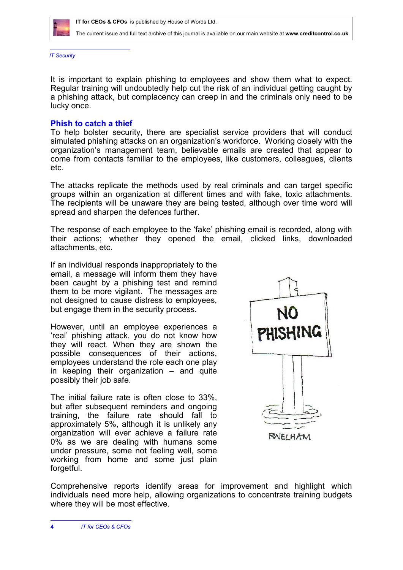

*IT Security*

It is important to explain phishing to employees and show them what to expect. Regular training will undoubtedly help cut the risk of an individual getting caught by a phishing attack, but complacency can creep in and the criminals only need to be lucky once.

#### **Phish to catch a thief**

To help bolster security, there are specialist service providers that will conduct simulated phishing attacks on an organization's workforce. Working closely with the organization's management team, believable emails are created that appear to come from contacts familiar to the employees, like customers, colleagues, clients etc.

The attacks replicate the methods used by real criminals and can target specific groups within an organization at different times and with fake, toxic attachments. The recipients will be unaware they are being tested, although over time word will spread and sharpen the defences further.

The response of each employee to the 'fake' phishing email is recorded, along with their actions; whether they opened the email, clicked links, downloaded attachments, etc.

If an individual responds inappropriately to the email, a message will inform them they have been caught by a phishing test and remind them to be more vigilant. The messages are not designed to cause distress to employees, but engage them in the security process.

However, until an employee experiences a 'real' phishing attack, you do not know how they will react. When they are shown the possible consequences of their actions, employees understand the role each one play in keeping their organization – and quite possibly their job safe.

The initial failure rate is often close to 33%, but after subsequent reminders and ongoing training, the failure rate should fall to approximately 5%, although it is unlikely any organization will ever achieve a failure rate 0% as we are dealing with humans some under pressure, some not feeling well, some working from home and some just plain forgetful.



Comprehensive reports identify areas for improvement and highlight which individuals need more help, allowing organizations to concentrate training budgets where they will be most effective.